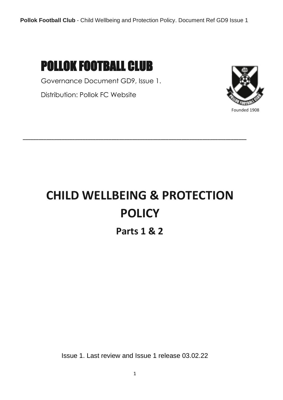## POLLOK FOOTBALL CLUB

Governance Document GD9, Issue 1.

Distribution: Pollok FC Website



# **CHILD WELLBEING & PROTECTION POLICY**

**\_\_\_\_\_\_\_\_\_\_\_\_\_\_\_\_\_\_\_\_\_\_\_\_\_\_\_\_\_\_\_\_\_\_\_\_\_\_\_\_\_\_\_\_\_\_\_\_\_\_\_\_\_\_\_\_\_\_\_\_\_\_\_\_\_\_\_\_\_\_\_\_\_\_\_\_\_\_\_\_\_\_\_\_\_\_**

**Parts 1 & 2**

Issue 1. Last review and Issue 1 release 03.02.22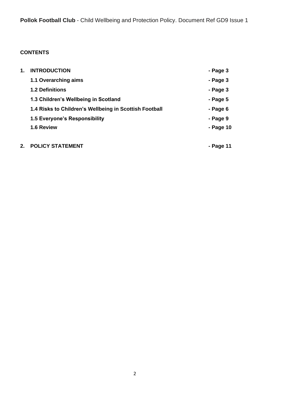### **CONTENTS**

| 1. | <b>INTRODUCTION</b>                                    | - Page 3  |
|----|--------------------------------------------------------|-----------|
|    | 1.1 Overarching aims                                   | - Page 3  |
|    | <b>1.2 Definitions</b>                                 | - Page 3  |
|    | 1.3 Children's Wellbeing in Scotland                   | - Page 5  |
|    | 1.4 Risks to Children's Wellbeing in Scottish Football | - Page 6  |
|    | 1.5 Everyone's Responsibility                          | - Page 9  |
|    | 1.6 Review                                             | - Page 10 |
| 2. | <b>POLICY STATEMENT</b>                                | - Page 11 |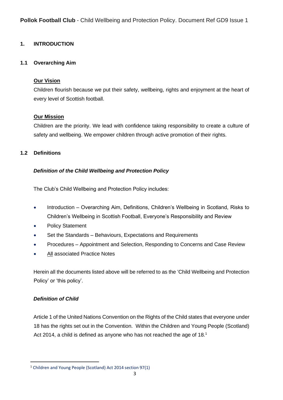#### **1. INTRODUCTION**

#### **1.1 Overarching Aim**

#### **Our Vision**

Children flourish because we put their safety, wellbeing, rights and enjoyment at the heart of every level of Scottish football.

#### **Our Mission**

Children are the priority. We lead with confidence taking responsibility to create a culture of safety and wellbeing. We empower children through active promotion of their rights.

#### **1.2 Definitions**

#### *Definition of the Child Wellbeing and Protection Policy*

The Club's Child Wellbeing and Protection Policy includes:

- Introduction Overarching Aim, Definitions, Children's Wellbeing in Scotland, Risks to Children's Wellbeing in Scottish Football, Everyone's Responsibility and Review
- Policy Statement
- Set the Standards Behaviours, Expectations and Requirements
- Procedures Appointment and Selection, Responding to Concerns and Case Review
- All associated Practice Notes

Herein all the documents listed above will be referred to as the 'Child Wellbeing and Protection Policy' or 'this policy'.

#### *Definition of Child*

Article 1 of the United Nations Convention on the Rights of the Child states that everyone under 18 has the rights set out in the Convention. Within the Children and Young People (Scotland) Act 2014, a child is defined as anyone who has not reached the age of 18.<sup>1</sup>

<sup>1</sup> Children and Young People (Scotland) Act 2014 section 97(1)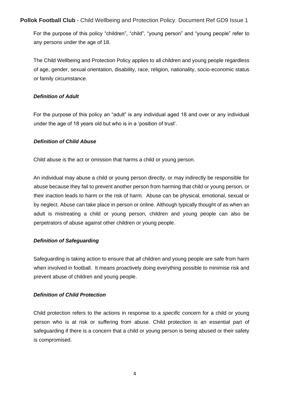For the purpose of this policy "children", "child", "young person" and "young people" refer to any persons under the age of 18.

The Child Wellbeing and Protection Policy applies to all children and young people regardless of age, gender, sexual orientation, disability, race, religion, nationality, socio-economic status or family circumstance.

#### *Definition of Adult*

For the purpose of this policy an "adult" is any individual aged 18 and over or any individual under the age of 18 years old but who is in a 'position of trust'.

#### *Definition of Child Abuse*

Child abuse is the act or omission that harms a child or young person.

An individual may abuse a child or young person directly, or may indirectly be responsible for abuse because they fail to prevent another person from harming that child or young person, or their inaction leads to harm or the risk of harm. Abuse can be physical, emotional, sexual or by neglect. Abuse can take place in person or online. Although typically thought of as when an adult is mistreating a child or young person, children and young people can also be perpetrators of abuse against other children or young people.

#### *Definition of Safeguarding*

Safeguarding is taking action to ensure that *all* children and young people are safe from harm when involved in football. It means proactively doing everything possible to minimise risk and prevent abuse of children and young people.

#### *Definition of Child Protection*

Child protection refers to the actions in response to a *specific* concern for a child or young person who is at risk or suffering from abuse. Child protection is an essential part of safeguarding if there is a concern that a child or young person is being abused or their safety is compromised.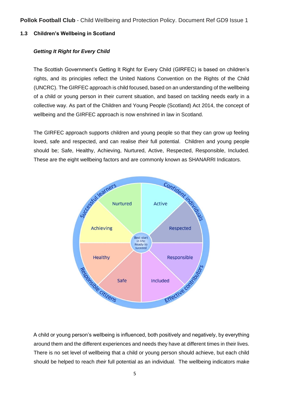#### **1.3 Children's Wellbeing in Scotland**

#### *Getting It Right for Every Child*

The Scottish Government's Getting It Right for Every Child (GIRFEC) is based on children's rights, and its principles reflect the United Nations Convention on the Rights of the Child (UNCRC). The GIRFEC approach is child focused, based on an understanding of the wellbeing of a child or young person in their current situation, and based on tackling needs early in a collective way. As part of the Children and Young People (Scotland) Act 2014, the concept of wellbeing and the GIRFEC approach is now enshrined in law in Scotland.

The GIRFEC approach supports children and young people so that they can grow up feeling loved, safe and respected, and can realise *their* full potential. Children and young people should be; Safe, Healthy, Achieving, Nurtured, Active, Respected, Responsible, Included. These are the eight wellbeing factors and are commonly known as SHANARRI Indicators.



A child or young person's wellbeing is influenced, both positively and negatively, by everything around them and the different experiences and needs they have at different times in their lives. There is no set level of wellbeing that a child or young person should achieve, but each child should be helped to reach *their* full potential as an individual. The wellbeing indicators make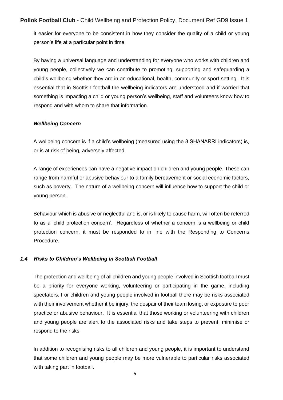it easier for everyone to be consistent in how they consider the quality of a child or young person's life at a particular point in time.

By having a universal language and understanding for everyone who works with children and young people, collectively we can contribute to promoting, supporting and safeguarding a child's wellbeing whether they are in an educational, health, community or sport setting. It is essential that in Scottish football the wellbeing indicators are understood and if worried that something is impacting a child or young person's wellbeing, staff and volunteers know how to respond and with whom to share that information.

#### *Wellbeing Concern*

A wellbeing concern is if a child's wellbeing (measured using the 8 SHANARRI indicators) is, or is at risk of being, adversely affected.

A range of experiences can have a negative impact on children and young people. These can range from harmful or abusive behaviour to a family bereavement or social economic factors, such as poverty. The nature of a wellbeing concern will influence how to support the child or young person.

Behaviour which is abusive or neglectful and is, or is likely to cause harm, will often be referred to as a 'child protection concern'. Regardless of whether a concern is a wellbeing or child protection concern, it must be responded to in line with the Responding to Concerns Procedure.

#### *1.4 Risks to Children's Wellbeing in Scottish Football*

The protection and wellbeing of all children and young people involved in Scottish football must be a priority for everyone working, volunteering or participating in the game, including spectators. For children and young people involved in football there may be risks associated with their involvement whether it be injury, the despair of their team losing, or exposure to poor practice or abusive behaviour. It is essential that those working or volunteering with children and young people are alert to the associated risks and take steps to prevent, minimise or respond to the risks.

In addition to recognising risks to all children and young people, it is important to understand that some children and young people may be more vulnerable to particular risks associated with taking part in football.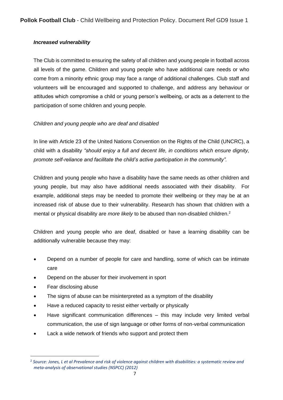#### *Increased vulnerability*

The Club is committed to ensuring the safety of all children and young people in football across all levels of the game. Children and young people who have additional care needs or who come from a minority ethnic group may face a range of additional challenges. Club staff and volunteers will be encouraged and supported to challenge, and address any behaviour or attitudes which compromise a child or young person's wellbeing, or acts as a deterrent to the participation of some children and young people.

#### *Children and young people who are deaf and disabled*

In line with Article 23 of the United Nations Convention on the Rights of the Child (UNCRC), a child with a disability *"should enjoy a full and decent life, in conditions which ensure dignity, promote self-reliance and facilitate the child's active participation in the community".* 

Children and young people who have a disability have the same needs as other children and young people, but may also have additional needs associated with their disability. For example, additional steps may be needed to promote their wellbeing or they may be at an increased risk of abuse due to their vulnerability. Research has shown that children with a mental or physical disability are *more likely* to be abused than non-disabled children.<sup>2</sup>

Children and young people who are deaf, disabled or have a learning disability can be additionally vulnerable because they may:

- Depend on a number of people for care and handling, some of which can be intimate care
- Depend on the abuser for their involvement in sport
- Fear disclosing abuse
- The signs of abuse can be misinterpreted as a symptom of the disability
- Have a reduced capacity to resist either verbally or physically
- Have significant communication differences this may include very limited verbal communication, the use of sign language or other forms of non-verbal communication
- Lack a wide network of friends who support and protect them

<sup>2</sup> *Source: Jones, L et al Prevalence and risk of violence against children with disabilities: a systematic review and meta-analysis of observational studies (NSPCC) (2012)*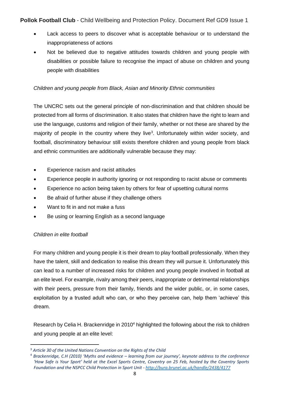- Lack access to peers to discover what is acceptable behaviour or to understand the inappropriateness of actions
- Not be believed due to negative attitudes towards children and young people with disabilities or possible failure to recognise the impact of abuse on children and young people with disabilities

#### *Children and young people from Black, Asian and Minority Ethnic communities*

The UNCRC sets out the general principle of non-discrimination and that children should be protected from all forms of discrimination. It also states that children have the right to learn and use the language, customs and religion of their family, whether or not these are shared by the majority of people in the country where they live<sup>3</sup>. Unfortunately within wider society, and football, discriminatory behaviour still exists therefore children and young people from black and ethnic communities are additionally vulnerable because they may:

- Experience racism and racist attitudes
- Experience people in authority ignoring or not responding to racist abuse or comments
- Experience no action being taken by others for fear of upsetting cultural norms
- Be afraid of further abuse if they challenge others
- Want to fit in and not make a fuss
- Be using or learning English as a second language

#### *Children in elite football*

For many children and young people it is their dream to play football professionally. When they have the talent, skill and dedication to realise this dream they will pursue it. Unfortunately this can lead to a number of increased risks for children and young people involved in football at an elite level. For example, rivalry among their peers, inappropriate or detrimental relationships with their peers, pressure from their family, friends and the wider public, or, in some cases, exploitation by a trusted adult who can, or who they perceive can, help them 'achieve' this dream.

Research by Celia H. Brackenridge in 2010<sup>4</sup> highlighted the following about the risk to children and young people at an elite level:

<sup>3</sup> *Article 30 of the United Nations Convention on the Rights of the Child*

<sup>4</sup> *Brackenridge, C.H (2010) 'Myths and evidence – learning from our journey', keynote address to the conference 'How Safe is Your Sport' held at the Excel Sports Centre, Coventry on 25 Feb, hosted by the Coventry Sports Foundation and the NSPCC Child Protection in Sport Unit - <http://bura.brunel.ac.uk/handle/2438/4177>*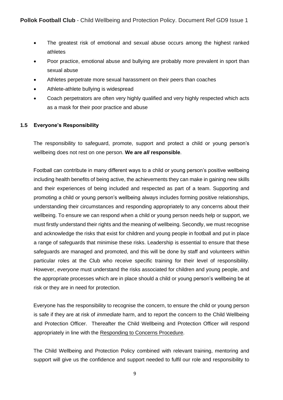- The greatest risk of emotional and sexual abuse occurs among the highest ranked athletes
- Poor practice, emotional abuse and bullying are probably more prevalent in sport than sexual abuse
- Athletes perpetrate more sexual harassment on their peers than coaches
- Athlete-athlete bullying is widespread
- Coach perpetrators are often very highly qualified and very highly respected which acts as a mask for their poor practice and abuse

#### **1.5 Everyone's Responsibility**

The responsibility to safeguard, promote, support and protect a child or young person's wellbeing does not rest on one person. **We are** *all* **responsible**.

Football can contribute in many different ways to a child or young person's positive wellbeing including health benefits of being active, the achievements they can make in gaining new skills and their experiences of being included and respected as part of a team. Supporting and promoting a child or young person's wellbeing always includes forming positive relationships, understanding their circumstances and responding appropriately to any concerns about their wellbeing. To ensure we can respond when a child or young person needs help or support, we must firstly understand their rights and the meaning of wellbeing. Secondly, we must recognise and acknowledge the risks that exist for children and young people in football and put in place a range of safeguards that minimise these risks. Leadership is essential to ensure that these safeguards are managed and promoted, and this will be done by staff and volunteers within particular roles at the Club who receive specific training for their level of responsibility. However, *everyone* must understand the risks associated for children and young people, and the appropriate processes which are in place should a child or young person's wellbeing be at risk or they are in need for protection.

Everyone has the responsibility to recognise the concern, to ensure the child or young person is safe if they are at risk of *immediate* harm, and to report the concern to the Child Wellbeing and Protection Officer. Thereafter the Child Wellbeing and Protection Officer will respond appropriately in line with the Responding to Concerns Procedure.

The Child Wellbeing and Protection Policy combined with relevant training, mentoring and support will give us the confidence and support needed to fulfil our role and responsibility to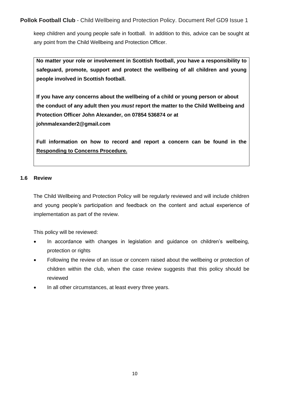keep children and young people safe in football. In addition to this, advice can be sought at any point from the Child Wellbeing and Protection Officer.

**No matter your role or involvement in Scottish football,** *you* **have a responsibility to safeguard, promote, support and protect the wellbeing of all children and young people involved in Scottish football.** 

**If you have** *any* **concerns about the wellbeing of a child or young person or about the conduct of any adult then you** *must* **report the matter to the Child Wellbeing and Protection Officer John Alexander, on 07854 536874 or at johnmalexander2@gmail.com**

**Full information on how to record and report a concern can be found in the Responding to Concerns Procedure.**

#### **1.6 Review**

The Child Wellbeing and Protection Policy will be regularly reviewed and will include children and young people's participation and feedback on the content and actual experience of implementation as part of the review.

This policy will be reviewed:

- In accordance with changes in legislation and guidance on children's wellbeing, protection or rights
- Following the review of an issue or concern raised about the wellbeing or protection of children within the club, when the case review suggests that this policy should be reviewed
- In all other circumstances, at least every three years.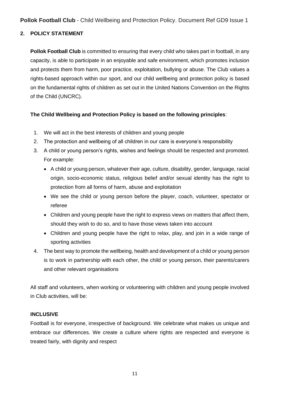#### **2. POLICY STATEMENT**

**Pollok Football Club** is committed to ensuring that every child who takes part in football, in any capacity, is able to participate in an enjoyable and safe environment, which promotes inclusion and protects them from harm, poor practice, exploitation, bullying or abuse. The Club values a rights-based approach within our sport, and our child wellbeing and protection policy is based on the fundamental rights of children as set out in the United Nations Convention on the Rights of the Child (UNCRC).

#### **The Child Wellbeing and Protection Policy is based on the following principles**:

- 1. We will act in the best interests of children and young people
- 2. The protection and wellbeing of all children in our care is everyone's responsibility
- 3. A child or young person's rights, wishes and feelings should be respected and promoted. For example:
	- A child or young person, whatever their age, culture, disability, gender, language, racial origin, socio-economic status, religious belief and/or sexual identity has the right to protection from all forms of harm, abuse and exploitation
	- We see the child or young person before the player, coach, volunteer, spectator or referee
	- Children and young people have the right to express views on matters that affect them, should they wish to do so, and to have those views taken into account
	- Children and young people have the right to relax, play, and join in a wide range of sporting activities
- 4. The best way to promote the wellbeing, health and development of a child or young person is to work in partnership with each other, the child or young person, their parents/carers and other relevant organisations

All staff and volunteers, when working or volunteering with children and young people involved in Club activities, will be:

#### **INCLUSIVE**

Football is for everyone, irrespective of background. We celebrate what makes us unique and embrace our differences. We create a culture where rights are respected and everyone is treated fairly, with dignity and respect